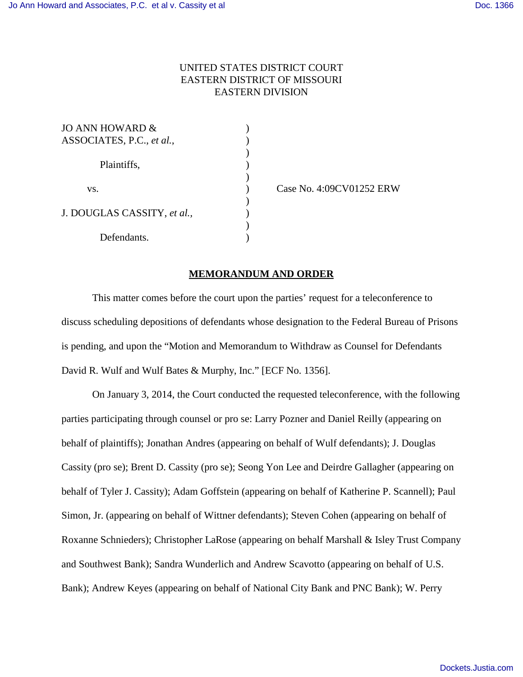## UNITED STATES DISTRICT COURT EASTERN DISTRICT OF MISSOURI EASTERN DIVISION

)

)

)

)

| JO ANN HOWARD &             |  |
|-----------------------------|--|
| ASSOCIATES, P.C., et al.,   |  |
|                             |  |
| Plaintiffs,                 |  |
|                             |  |
| VS.                         |  |
|                             |  |
| J. DOUGLAS CASSITY, et al., |  |
|                             |  |
| Defendants.                 |  |

) Case No. 4:09CV01252 ERW

## **MEMORANDUM AND ORDER**

This matter comes before the court upon the parties' request for a teleconference to discuss scheduling depositions of defendants whose designation to the Federal Bureau of Prisons is pending, and upon the "Motion and Memorandum to Withdraw as Counsel for Defendants David R. Wulf and Wulf Bates & Murphy, Inc." [ECF No. 1356].

On January 3, 2014, the Court conducted the requested teleconference, with the following parties participating through counsel or pro se: Larry Pozner and Daniel Reilly (appearing on behalf of plaintiffs); Jonathan Andres (appearing on behalf of Wulf defendants); J. Douglas Cassity (pro se); Brent D. Cassity (pro se); Seong Yon Lee and Deirdre Gallagher (appearing on behalf of Tyler J. Cassity); Adam Goffstein (appearing on behalf of Katherine P. Scannell); Paul Simon, Jr. (appearing on behalf of Wittner defendants); Steven Cohen (appearing on behalf of Roxanne Schnieders); Christopher LaRose (appearing on behalf Marshall & Isley Trust Company and Southwest Bank); Sandra Wunderlich and Andrew Scavotto (appearing on behalf of U.S. Bank); Andrew Keyes (appearing on behalf of National City Bank and PNC Bank); W. Perry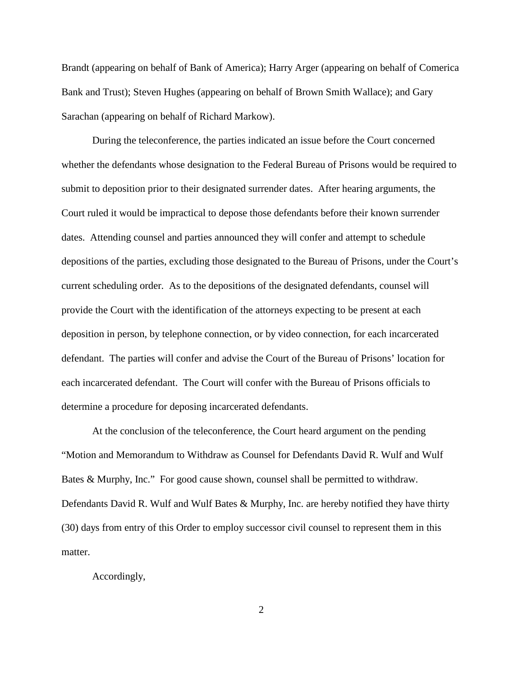Brandt (appearing on behalf of Bank of America); Harry Arger (appearing on behalf of Comerica Bank and Trust); Steven Hughes (appearing on behalf of Brown Smith Wallace); and Gary Sarachan (appearing on behalf of Richard Markow).

During the teleconference, the parties indicated an issue before the Court concerned whether the defendants whose designation to the Federal Bureau of Prisons would be required to submit to deposition prior to their designated surrender dates. After hearing arguments, the Court ruled it would be impractical to depose those defendants before their known surrender dates. Attending counsel and parties announced they will confer and attempt to schedule depositions of the parties, excluding those designated to the Bureau of Prisons, under the Court's current scheduling order. As to the depositions of the designated defendants, counsel will provide the Court with the identification of the attorneys expecting to be present at each deposition in person, by telephone connection, or by video connection, for each incarcerated defendant. The parties will confer and advise the Court of the Bureau of Prisons' location for each incarcerated defendant. The Court will confer with the Bureau of Prisons officials to determine a procedure for deposing incarcerated defendants.

At the conclusion of the teleconference, the Court heard argument on the pending "Motion and Memorandum to Withdraw as Counsel for Defendants David R. Wulf and Wulf Bates & Murphy, Inc." For good cause shown, counsel shall be permitted to withdraw. Defendants David R. Wulf and Wulf Bates & Murphy, Inc. are hereby notified they have thirty (30) days from entry of this Order to employ successor civil counsel to represent them in this matter.

Accordingly,

2